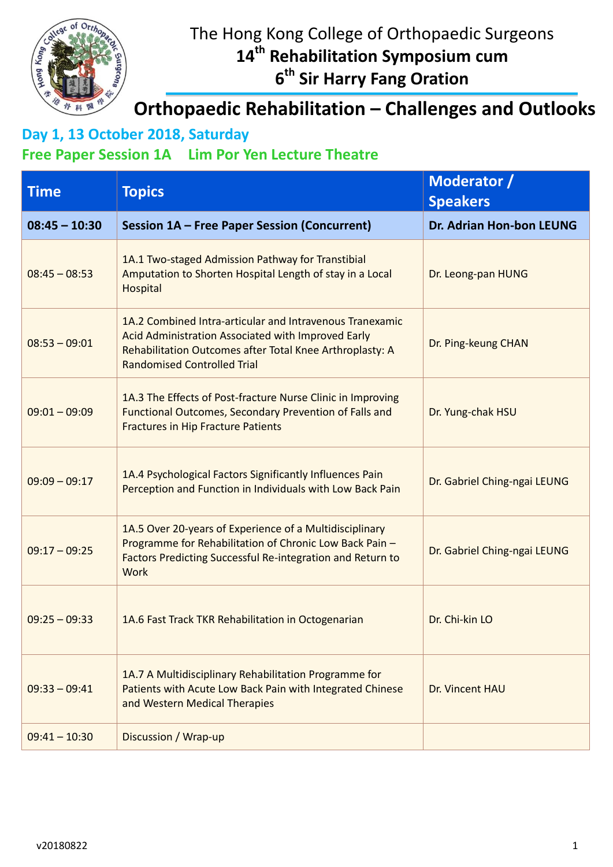

# The Hong Kong College of Orthopaedic Surgeons **14th Rehabilitation Symposium cum**

**6 th Sir Harry Fang Oration**

#### **Orthopaedic Rehabilitation – Challenges and Outlooks**

## **Day 1, 13 October 2018, Saturday**

#### **Free Paper Session 1A Lim Por Yen Lecture Theatre**

| <b>Time</b>     | <b>Topics</b>                                                                                                                                                                                                    | Moderator /<br><b>Speakers</b>  |
|-----------------|------------------------------------------------------------------------------------------------------------------------------------------------------------------------------------------------------------------|---------------------------------|
| $08:45 - 10:30$ | <b>Session 1A - Free Paper Session (Concurrent)</b>                                                                                                                                                              | <b>Dr. Adrian Hon-bon LEUNG</b> |
| $08:45 - 08:53$ | 1A.1 Two-staged Admission Pathway for Transtibial<br>Amputation to Shorten Hospital Length of stay in a Local<br><b>Hospital</b>                                                                                 | Dr. Leong-pan HUNG              |
| $08:53 - 09:01$ | 1A.2 Combined Intra-articular and Intravenous Tranexamic<br>Acid Administration Associated with Improved Early<br>Rehabilitation Outcomes after Total Knee Arthroplasty: A<br><b>Randomised Controlled Trial</b> | Dr. Ping-keung CHAN             |
| $09:01 - 09:09$ | 1A.3 The Effects of Post-fracture Nurse Clinic in Improving<br>Functional Outcomes, Secondary Prevention of Falls and<br><b>Fractures in Hip Fracture Patients</b>                                               | Dr. Yung-chak HSU               |
| $09:09 - 09:17$ | 1A.4 Psychological Factors Significantly Influences Pain<br>Perception and Function in Individuals with Low Back Pain                                                                                            | Dr. Gabriel Ching-ngai LEUNG    |
| $09:17 - 09:25$ | 1A.5 Over 20-years of Experience of a Multidisciplinary<br>Programme for Rehabilitation of Chronic Low Back Pain -<br>Factors Predicting Successful Re-integration and Return to<br><b>Work</b>                  | Dr. Gabriel Ching-ngai LEUNG    |
| $09:25 - 09:33$ | 1A.6 Fast Track TKR Rehabilitation in Octogenarian                                                                                                                                                               | Dr. Chi-kin LO                  |
| $09:33 - 09:41$ | 1A.7 A Multidisciplinary Rehabilitation Programme for<br>Patients with Acute Low Back Pain with Integrated Chinese<br>and Western Medical Therapies                                                              | Dr. Vincent HAU                 |
| $09:41 - 10:30$ | Discussion / Wrap-up                                                                                                                                                                                             |                                 |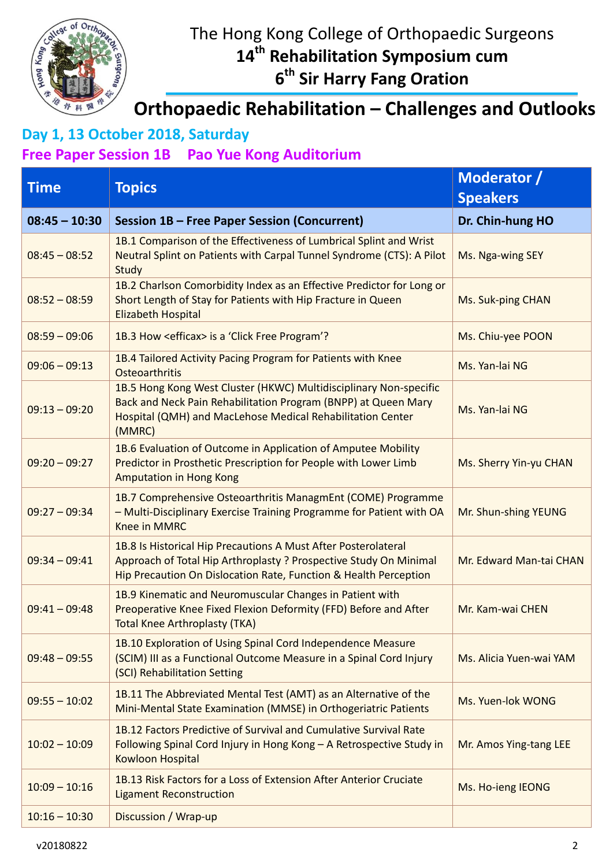

# The Hong Kong College of Orthopaedic Surgeons **14th Rehabilitation Symposium cum**

**6 th Sir Harry Fang Oration**

### **Orthopaedic Rehabilitation – Challenges and Outlooks**

# **Day 1, 13 October 2018, Saturday**

#### **Free Paper Session 1B Pao Yue Kong Auditorium**

| <b>Time</b>     | <b>Topics</b>                                                                                                                                                                                               | Moderator /<br><b>Speakers</b> |
|-----------------|-------------------------------------------------------------------------------------------------------------------------------------------------------------------------------------------------------------|--------------------------------|
| $08:45 - 10:30$ | <b>Session 1B - Free Paper Session (Concurrent)</b>                                                                                                                                                         | Dr. Chin-hung HO               |
| $08:45 - 08:52$ | 1B.1 Comparison of the Effectiveness of Lumbrical Splint and Wrist<br>Neutral Splint on Patients with Carpal Tunnel Syndrome (CTS): A Pilot<br>Study                                                        | Ms. Nga-wing SEY               |
| $08:52 - 08:59$ | 1B.2 Charlson Comorbidity Index as an Effective Predictor for Long or<br>Short Length of Stay for Patients with Hip Fracture in Queen<br><b>Elizabeth Hospital</b>                                          | Ms. Suk-ping CHAN              |
| $08:59 - 09:06$ | 1B.3 How <efficax> is a 'Click Free Program'?</efficax>                                                                                                                                                     | Ms. Chiu-yee POON              |
| $09:06 - 09:13$ | 1B.4 Tailored Activity Pacing Program for Patients with Knee<br>Osteoarthritis                                                                                                                              | Ms. Yan-lai NG                 |
| $09:13 - 09:20$ | 1B.5 Hong Kong West Cluster (HKWC) Multidisciplinary Non-specific<br>Back and Neck Pain Rehabilitation Program (BNPP) at Queen Mary<br>Hospital (QMH) and MacLehose Medical Rehabilitation Center<br>(MMRC) | Ms. Yan-lai NG                 |
| $09:20 - 09:27$ | 1B.6 Evaluation of Outcome in Application of Amputee Mobility<br>Predictor in Prosthetic Prescription for People with Lower Limb<br><b>Amputation in Hong Kong</b>                                          | Ms. Sherry Yin-yu CHAN         |
| $09:27 - 09:34$ | 1B.7 Comprehensive Osteoarthritis ManagmEnt (COME) Programme<br>- Multi-Disciplinary Exercise Training Programme for Patient with OA<br><b>Knee in MMRC</b>                                                 | Mr. Shun-shing YEUNG           |
| $09:34 - 09:41$ | 1B.8 Is Historical Hip Precautions A Must After Posterolateral<br>Approach of Total Hip Arthroplasty ? Prospective Study On Minimal<br>Hip Precaution On Dislocation Rate, Function & Health Perception     | Mr. Edward Man-tai CHAN        |
| $09:41 - 09:48$ | 1B.9 Kinematic and Neuromuscular Changes in Patient with<br>Preoperative Knee Fixed Flexion Deformity (FFD) Before and After<br><b>Total Knee Arthroplasty (TKA)</b>                                        | Mr. Kam-wai CHEN               |
| $09:48 - 09:55$ | 1B.10 Exploration of Using Spinal Cord Independence Measure<br>(SCIM) III as a Functional Outcome Measure in a Spinal Cord Injury<br>(SCI) Rehabilitation Setting                                           | Ms. Alicia Yuen-wai YAM        |
| $09:55 - 10:02$ | 1B.11 The Abbreviated Mental Test (AMT) as an Alternative of the<br>Mini-Mental State Examination (MMSE) in Orthogeriatric Patients                                                                         | Ms. Yuen-lok WONG              |
| $10:02 - 10:09$ | 1B.12 Factors Predictive of Survival and Cumulative Survival Rate<br>Following Spinal Cord Injury in Hong Kong - A Retrospective Study in<br>Kowloon Hospital                                               | Mr. Amos Ying-tang LEE         |
| $10:09 - 10:16$ | 1B.13 Risk Factors for a Loss of Extension After Anterior Cruciate<br><b>Ligament Reconstruction</b>                                                                                                        | Ms. Ho-ieng IEONG              |
| $10:16 - 10:30$ | Discussion / Wrap-up                                                                                                                                                                                        |                                |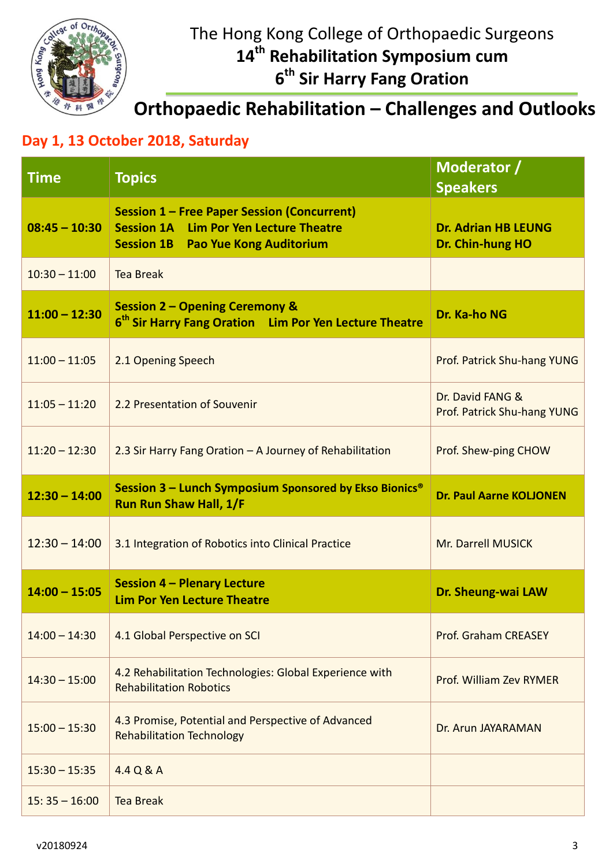

## The Hong Kong College of Orthopaedic Surgeons **14th Rehabilitation Symposium cum 6 th Sir Harry Fang Oration**

## **Orthopaedic Rehabilitation – Challenges and Outlooks**

#### **Day 1, 13 October 2018, Saturday**

| <b>Time</b>     | <b>Topics</b>                                                                                                                                    | Moderator /<br><b>Speakers</b>                  |
|-----------------|--------------------------------------------------------------------------------------------------------------------------------------------------|-------------------------------------------------|
| $08:45 - 10:30$ | <b>Session 1 - Free Paper Session (Concurrent)</b><br><b>Session 1A Lim Por Yen Lecture Theatre</b><br><b>Session 1B</b> Pao Yue Kong Auditorium | <b>Dr. Adrian HB LEUNG</b><br>Dr. Chin-hung HO  |
| $10:30 - 11:00$ | <b>Tea Break</b>                                                                                                                                 |                                                 |
| $11:00 - 12:30$ | <b>Session 2 - Opening Ceremony &amp;</b><br>6 <sup>th</sup> Sir Harry Fang Oration Lim Por Yen Lecture Theatre                                  | Dr. Ka-ho NG                                    |
| $11:00 - 11:05$ | 2.1 Opening Speech                                                                                                                               | Prof. Patrick Shu-hang YUNG                     |
| $11:05 - 11:20$ | 2.2 Presentation of Souvenir                                                                                                                     | Dr. David FANG &<br>Prof. Patrick Shu-hang YUNG |
| $11:20 - 12:30$ | 2.3 Sir Harry Fang Oration - A Journey of Rehabilitation                                                                                         | Prof. Shew-ping CHOW                            |
| $12:30 - 14:00$ | Session 3 - Lunch Symposium Sponsored by Ekso Bionics <sup>®</sup><br><b>Run Run Shaw Hall, 1/F</b>                                              | <b>Dr. Paul Aarne KOLJONEN</b>                  |
| $12:30 - 14:00$ | 3.1 Integration of Robotics into Clinical Practice                                                                                               | Mr. Darrell MUSICK                              |
| $14:00 - 15:05$ | <b>Session 4 - Plenary Lecture</b><br><b>Lim Por Yen Lecture Theatre</b>                                                                         | Dr. Sheung-wai LAW                              |
| $14:00 - 14:30$ | 4.1 Global Perspective on SCI                                                                                                                    | <b>Prof. Graham CREASEY</b>                     |
| $14:30 - 15:00$ | 4.2 Rehabilitation Technologies: Global Experience with<br><b>Rehabilitation Robotics</b>                                                        | Prof. William Zev RYMER                         |
| $15:00 - 15:30$ | 4.3 Promise, Potential and Perspective of Advanced<br><b>Rehabilitation Technology</b>                                                           | Dr. Arun JAYARAMAN                              |
| $15:30 - 15:35$ | 4.4 Q & A                                                                                                                                        |                                                 |
| $15:35 - 16:00$ | <b>Tea Break</b>                                                                                                                                 |                                                 |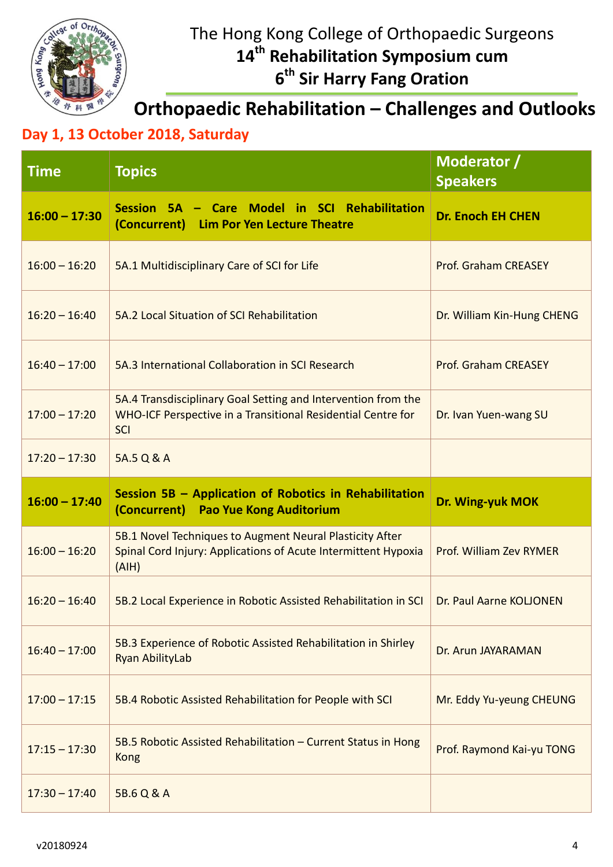

## The Hong Kong College of Orthopaedic Surgeons **14th Rehabilitation Symposium cum 6 th Sir Harry Fang Oration**

**Orthopaedic Rehabilitation – Challenges and Outlooks**

#### **Day 1, 13 October 2018, Saturday**

| <b>Time</b>     | <b>Topics</b>                                                                                                                               | Moderator /<br><b>Speakers</b> |
|-----------------|---------------------------------------------------------------------------------------------------------------------------------------------|--------------------------------|
| $16:00 - 17:30$ | Session 5A - Care Model in SCI Rehabilitation<br>(Concurrent) Lim Por Yen Lecture Theatre                                                   | <b>Dr. Enoch EH CHEN</b>       |
| $16:00 - 16:20$ | 5A.1 Multidisciplinary Care of SCI for Life                                                                                                 | <b>Prof. Graham CREASEY</b>    |
| $16:20 - 16:40$ | 5A.2 Local Situation of SCI Rehabilitation                                                                                                  | Dr. William Kin-Hung CHENG     |
| $16:40 - 17:00$ | 5A.3 International Collaboration in SCI Research                                                                                            | <b>Prof. Graham CREASEY</b>    |
| $17:00 - 17:20$ | 5A.4 Transdisciplinary Goal Setting and Intervention from the<br>WHO-ICF Perspective in a Transitional Residential Centre for<br><b>SCI</b> | Dr. Ivan Yuen-wang SU          |
| $17:20 - 17:30$ | 5A.5 Q & A                                                                                                                                  |                                |
|                 |                                                                                                                                             |                                |
| $16:00 - 17:40$ | Session 5B - Application of Robotics in Rehabilitation<br>(Concurrent) Pao Yue Kong Auditorium                                              | Dr. Wing-yuk MOK               |
| $16:00 - 16:20$ | 5B.1 Novel Techniques to Augment Neural Plasticity After<br>Spinal Cord Injury: Applications of Acute Intermittent Hypoxia<br>(AIH)         | Prof. William Zev RYMER        |
| $16:20 - 16:40$ | 5B.2 Local Experience in Robotic Assisted Rehabilitation in SCI                                                                             | Dr. Paul Aarne KOLJONEN        |
| $16:40 - 17:00$ | 5B.3 Experience of Robotic Assisted Rehabilitation in Shirley<br>Ryan AbilityLab                                                            | Dr. Arun JAYARAMAN             |
| $17:00 - 17:15$ | 5B.4 Robotic Assisted Rehabilitation for People with SCI                                                                                    | Mr. Eddy Yu-yeung CHEUNG       |
| $17:15 - 17:30$ | 5B.5 Robotic Assisted Rehabilitation - Current Status in Hong<br><b>Kong</b>                                                                | Prof. Raymond Kai-yu TONG      |